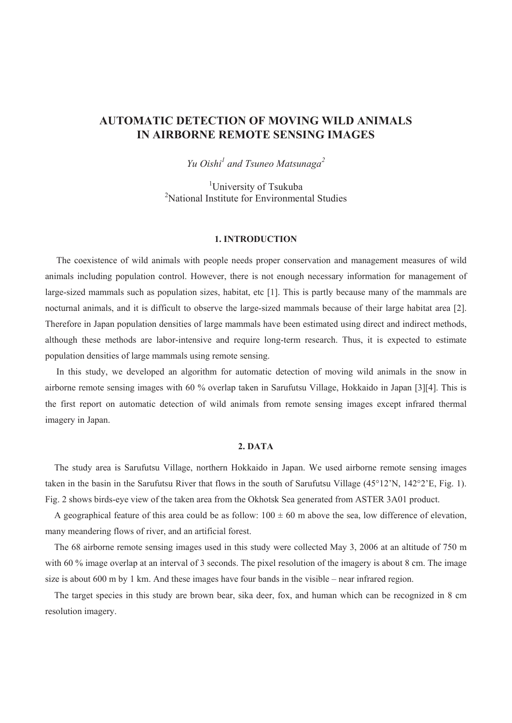# **AUTOMATIC DETECTION OF MOVING WILD ANIMALS IN AIRBORNE REMOTE SENSING IMAGES**

*Yu Oishi*<sup>1</sup> and Tsuneo Matsunaga<sup>2</sup>

<sup>1</sup>University of Tsukuba 2 National Institute for Environmental Studies

# **1. INTRODUCTION**

The coexistence of wild animals with people needs proper conservation and management measures of wild animals including population control. However, there is not enough necessary information for management of large-sized mammals such as population sizes, habitat, etc [1]. This is partly because many of the mammals are nocturnal animals, and it is difficult to observe the large-sized mammals because of their large habitat area [2]. Therefore in Japan population densities of large mammals have been estimated using direct and indirect methods, although these methods are labor-intensive and require long-term research. Thus, it is expected to estimate population densities of large mammals using remote sensing.

In this study, we developed an algorithm for automatic detection of moving wild animals in the snow in airborne remote sensing images with 60 % overlap taken in Sarufutsu Village, Hokkaido in Japan [3][4]. This is the first report on automatic detection of wild animals from remote sensing images except infrared thermal imagery in Japan.

# **2. DATA**

The study area is Sarufutsu Village, northern Hokkaido in Japan. We used airborne remote sensing images taken in the basin in the Sarufutsu River that flows in the south of Sarufutsu Village (45°12'N, 142°2'E, Fig. 1). Fig. 2 shows birds-eye view of the taken area from the Okhotsk Sea generated from ASTER 3A01 product.

A geographical feature of this area could be as follow:  $100 \pm 60$  m above the sea, low difference of elevation, many meandering flows of river, and an artificial forest.

The 68 airborne remote sensing images used in this study were collected May 3, 2006 at an altitude of 750 m with 60 % image overlap at an interval of 3 seconds. The pixel resolution of the imagery is about 8 cm. The image size is about 600 m by 1 km. And these images have four bands in the visible – near infrared region.

The target species in this study are brown bear, sika deer, fox, and human which can be recognized in 8 cm resolution imagery.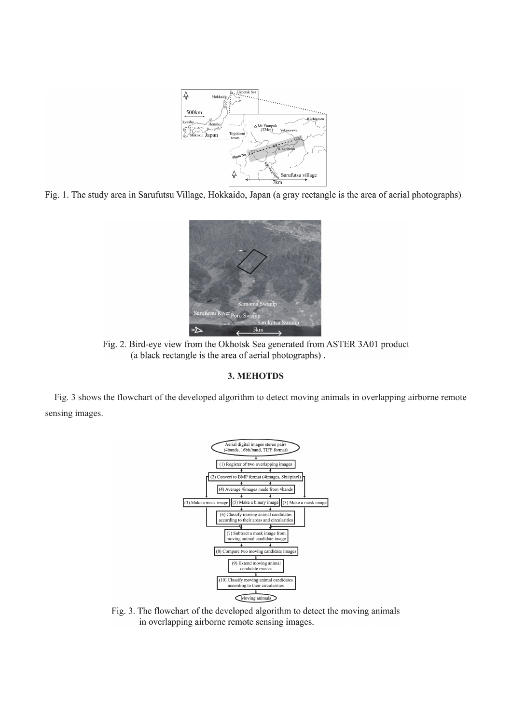

Fig. 1. The study area in Sarufutsu Village, Hokkaido, Japan (a gray rectangle is the area of aerial photographs).



Fig. 2. Bird-eye view from the Okhotsk Sea generated from ASTER 3A01 product (a black rectangle is the area of aerial photographs).

# **3. MEHOTDS**

Fig. 3 shows the flowchart of the developed algorithm to detect moving animals in overlapping airborne remote sensing images.



Fig. 3. The flowchart of the developed algorithm to detect the moving animals in overlapping airborne remote sensing images.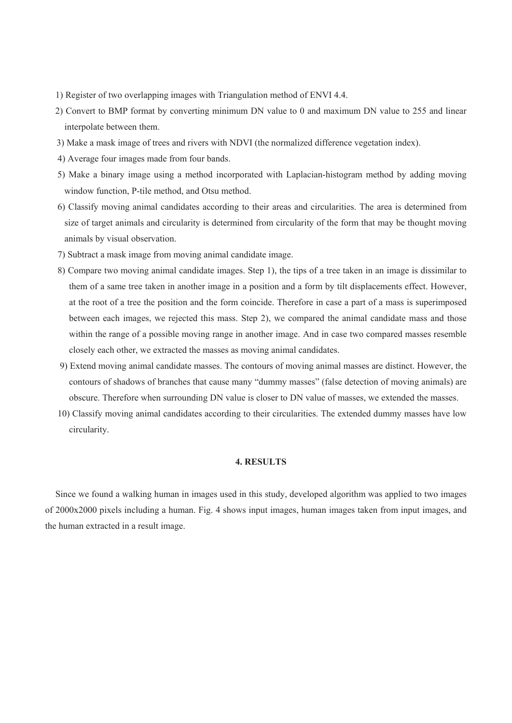- 1) Register of two overlapping images with Triangulation method of ENVI 4.4.
- 2) Convert to BMP format by converting minimum DN value to 0 and maximum DN value to 255 and linear interpolate between them.
- 3) Make a mask image of trees and rivers with NDVI (the normalized difference vegetation index).
- 4) Average four images made from four bands.
- 5) Make a binary image using a method incorporated with Laplacian-histogram method by adding moving window function, P-tile method, and Otsu method.
- 6) Classify moving animal candidates according to their areas and circularities. The area is determined from size of target animals and circularity is determined from circularity of the form that may be thought moving animals by visual observation.
- 7) Subtract a mask image from moving animal candidate image.
- 8) Compare two moving animal candidate images. Step 1), the tips of a tree taken in an image is dissimilar to them of a same tree taken in another image in a position and a form by tilt displacements effect. However, at the root of a tree the position and the form coincide. Therefore in case a part of a mass is superimposed between each images, we rejected this mass. Step 2), we compared the animal candidate mass and those within the range of a possible moving range in another image. And in case two compared masses resemble closely each other, we extracted the masses as moving animal candidates.
- 9) Extend moving animal candidate masses. The contours of moving animal masses are distinct. However, the contours of shadows of branches that cause many "dummy masses" (false detection of moving animals) are obscure. Therefore when surrounding DN value is closer to DN value of masses, we extended the masses.
- 10) Classify moving animal candidates according to their circularities. The extended dummy masses have low circularity.

# **4. RESULTS**

Since we found a walking human in images used in this study, developed algorithm was applied to two images of 2000x2000 pixels including a human. Fig. 4 shows input images, human images taken from input images, and the human extracted in a result image.